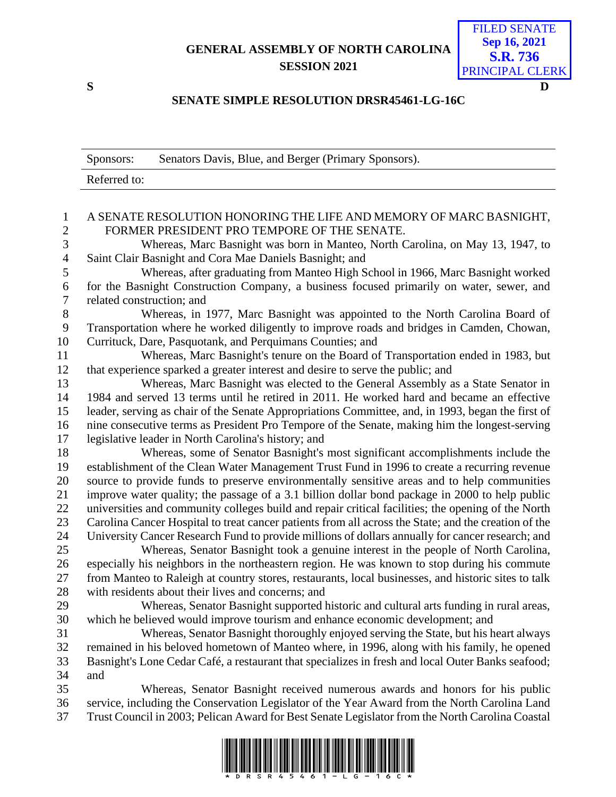## **GENERAL ASSEMBLY OF NORTH CAROLINA SESSION 2021**

FILED SENATE **Sep 16, 2021 S.R. 736** PRINCIPAL CLERK

## **S D**

## **SENATE SIMPLE RESOLUTION DRSR45461-LG-16C**

|                                | Senators Davis, Blue, and Berger (Primary Sponsors).<br>Sponsors:                                                                                                           |  |
|--------------------------------|-----------------------------------------------------------------------------------------------------------------------------------------------------------------------------|--|
|                                | Referred to:                                                                                                                                                                |  |
|                                |                                                                                                                                                                             |  |
| $\mathbf{1}$<br>$\overline{2}$ | A SENATE RESOLUTION HONORING THE LIFE AND MEMORY OF MARC BASNIGHT,<br>FORMER PRESIDENT PRO TEMPORE OF THE SENATE.                                                           |  |
| 3                              | Whereas, Marc Basnight was born in Manteo, North Carolina, on May 13, 1947, to                                                                                              |  |
| $\overline{4}$                 | Saint Clair Basnight and Cora Mae Daniels Basnight; and                                                                                                                     |  |
| 5<br>6                         | Whereas, after graduating from Manteo High School in 1966, Marc Basnight worked<br>for the Basnight Construction Company, a business focused primarily on water, sewer, and |  |
| $\boldsymbol{7}$               | related construction; and                                                                                                                                                   |  |
| $8\,$                          | Whereas, in 1977, Marc Basnight was appointed to the North Carolina Board of                                                                                                |  |
| 9                              | Transportation where he worked diligently to improve roads and bridges in Camden, Chowan,                                                                                   |  |
| 10                             | Currituck, Dare, Pasquotank, and Perquimans Counties; and                                                                                                                   |  |
| 11                             | Whereas, Marc Basnight's tenure on the Board of Transportation ended in 1983, but                                                                                           |  |
| 12                             | that experience sparked a greater interest and desire to serve the public; and                                                                                              |  |
| 13                             | Whereas, Marc Basnight was elected to the General Assembly as a State Senator in                                                                                            |  |
| 14                             | 1984 and served 13 terms until he retired in 2011. He worked hard and became an effective                                                                                   |  |
| 15                             | leader, serving as chair of the Senate Appropriations Committee, and, in 1993, began the first of                                                                           |  |
| 16                             | nine consecutive terms as President Pro Tempore of the Senate, making him the longest-serving                                                                               |  |
| 17                             | legislative leader in North Carolina's history; and                                                                                                                         |  |
| 18                             | Whereas, some of Senator Basnight's most significant accomplishments include the                                                                                            |  |
| 19                             | establishment of the Clean Water Management Trust Fund in 1996 to create a recurring revenue                                                                                |  |
| 20                             | source to provide funds to preserve environmentally sensitive areas and to help communities                                                                                 |  |
| 21                             | improve water quality; the passage of a 3.1 billion dollar bond package in 2000 to help public                                                                              |  |
| 22                             | universities and community colleges build and repair critical facilities; the opening of the North                                                                          |  |
| 23                             | Carolina Cancer Hospital to treat cancer patients from all across the State; and the creation of the                                                                        |  |
| 24                             | University Cancer Research Fund to provide millions of dollars annually for cancer research; and                                                                            |  |
| 25                             | Whereas, Senator Basnight took a genuine interest in the people of North Carolina,                                                                                          |  |
| 26                             | especially his neighbors in the northeastern region. He was known to stop during his commute                                                                                |  |
| 27                             | from Manteo to Raleigh at country stores, restaurants, local businesses, and historic sites to talk                                                                         |  |
| 28                             | with residents about their lives and concerns; and                                                                                                                          |  |
| 29                             | Whereas, Senator Basnight supported historic and cultural arts funding in rural areas,                                                                                      |  |
| 30                             | which he believed would improve tourism and enhance economic development; and                                                                                               |  |
| 31                             | Whereas, Senator Basnight thoroughly enjoyed serving the State, but his heart always                                                                                        |  |
| 32                             | remained in his beloved hometown of Manteo where, in 1996, along with his family, he opened                                                                                 |  |
| 33                             | Basnight's Lone Cedar Café, a restaurant that specializes in fresh and local Outer Banks seafood;                                                                           |  |
| 34<br>35                       | and<br>Whereas, Senator Basnight received numerous awards and honors for his public                                                                                         |  |
| 36                             | service, including the Conservation Legislator of the Year Award from the North Carolina Land                                                                               |  |
| 37                             | Trust Council in 2003; Pelican Award for Best Senate Legislator from the North Carolina Coastal                                                                             |  |
|                                |                                                                                                                                                                             |  |